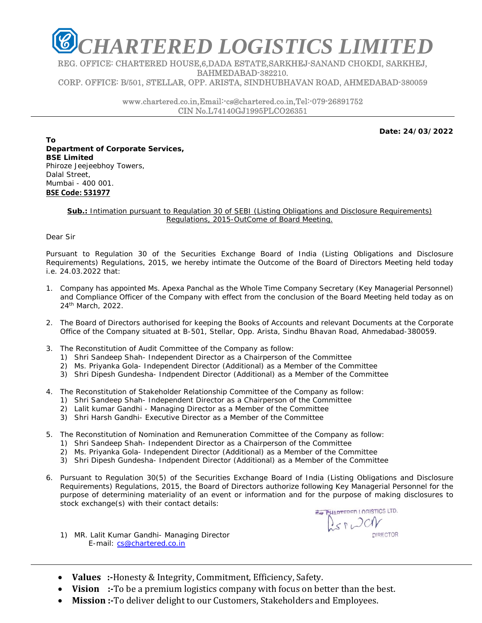

REG. OFFICE: CHARTERED HOUSE,6,DADA ESTATE,SARKHEJ-SANAND CHOKDI, SARKHEJ, BAHMEDABAD-382210. CORP. OFFICE: B/501, STELLAR, OPP. ARISTA, SINDHUBHAVAN ROAD, AHMEDABAD-380059

> www.chartered.co.in,Email:-cs@chartered.co.in,Tel:-079-26891752 CIN No.L74140GJ1995PLCO26351

> > **Date: 24/03/2022**

**To Department of Corporate Services, BSE Limited**  Phiroze Jeejeebhoy Towers, Dalal Street, Mumbai - 400 001. **BSE Code: 531977**

## **Sub.:** Intimation pursuant to Regulation 30 of SEBI (Listing Obligations and Disclosure Requirements) Regulations, 2015-OutCome of Board Meeting.

Dear Sir

Pursuant to Regulation 30 of the Securities Exchange Board of India (Listing Obligations and Disclosure Requirements) Regulations, 2015, we hereby intimate the Outcome of the Board of Directors Meeting held today i.e. 24.03.2022 that:

- 1. Company has appointed Ms. Apexa Panchal as the Whole Time Company Secretary (Key Managerial Personnel) and Compliance Officer of the Company with effect from the conclusion of the Board Meeting held today as on 24th March, 2022.
- 2. The Board of Directors authorised for keeping the Books of Accounts and relevant Documents at the Corporate Office of the Company situated at B-501, Stellar, Opp. Arista, Sindhu Bhavan Road, Ahmedabad-380059.
- 3. The Reconstitution of Audit Committee of the Company as follow:
	- 1) Shri Sandeep Shah- Independent Director as a Chairperson of the Committee
	- 2) Ms. Priyanka Gola- Independent Director (Additional) as a Member of the Committee
	- 3) Shri Dipesh Gundesha- Indpendent Director (Additional) as a Member of the Committee
- 4. The Reconstitution of Stakeholder Relationship Committee of the Company as follow:
	- 1) Shri Sandeep Shah- Independent Director as a Chairperson of the Committee
	- 2) Lalit kumar Gandhi Managing Director as a Member of the Committee
	- 3) Shri Harsh Gandhi- Executive Director as a Member of the Committee
- 5. The Reconstitution of Nomination and Remuneration Committee of the Company as follow:
	- 1) Shri Sandeep Shah- Independent Director as a Chairperson of the Committee
	- 2) Ms. Priyanka Gola- Independent Director (Additional) as a Member of the Committee
	- 3) Shri Dipesh Gundesha- Indpendent Director (Additional) as a Member of the Committee
- 6. Pursuant to Regulation 30(5) of the Securities Exchange Board of India (Listing Obligations and Disclosure Requirements) Regulations, 2015, the Board of Directors authorize following Key Managerial Personnel for the purpose of determining materiality of an event or information and for the purpose of making disclosures to stock exchange(s) with their contact details:

1) MR. Lalit Kumar Gandhi- Managing Director E-mail: cs@chartered.co.in

HARTERED LOGISTICS LTD. Der Dar

- Values :-Honesty & Integrity, Commitment, Efficiency, Safety.
- Vision :-To be a premium logistics company with focus on better than the best.
- **Mission** :- To deliver delight to our Customers, Stakeholders and Employees.